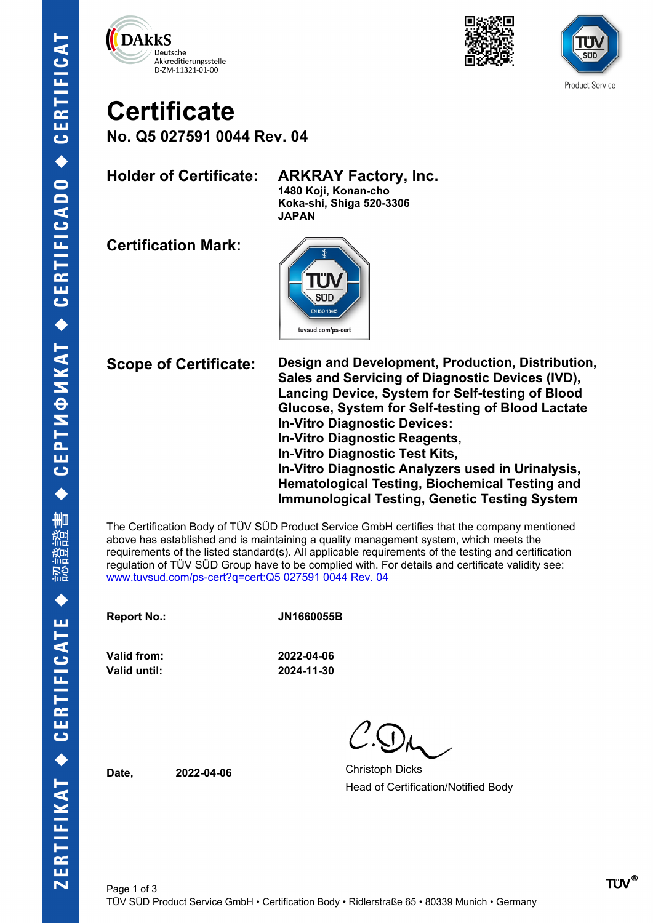





# **Certificate**

**No. Q5 027591 0044 Rev. 04**

**Holder of Certificate: ARKRAY Factory, Inc.**

**1480 Koji, Konan-cho Koka-shi, Shiga 520-3306 JAPAN**

**Certification Mark:**



**Scope of Certificate: Design and Development, Production, Distribution, Sales and Servicing of Diagnostic Devices (IVD), Lancing Device, System for Self-testing of Blood Glucose, System for Self-testing of Blood Lactate In-Vitro Diagnostic Devices: In-Vitro Diagnostic Reagents, In-Vitro Diagnostic Test Kits, In-Vitro Diagnostic Analyzers used in Urinalysis, Hematological Testing, Biochemical Testing and Immunological Testing, Genetic Testing System**

The Certification Body of TÜV SÜD Product Service GmbH certifies that the company mentioned above has established and is maintaining a quality management system, which meets the requirements of the listed standard(s). All applicable requirements of the testing and certification regulation of TÜV SÜD Group have to be complied with. For details and certificate validity see: [www.tuvsud.com/ps-cert?q=cert:Q5 027591 0044 Rev. 04](http://www.tuvsud.com/ps-cert?q=cert:Q5%20027591%200044%20Rev.%2004%C2%A0) 

**Report No.: JN1660055B**

**Valid from: 2022-04-06 Valid until: 2024-11-30**

**Date. 2022-04-06 Christoph Dicks** Head of Certification/Notified Body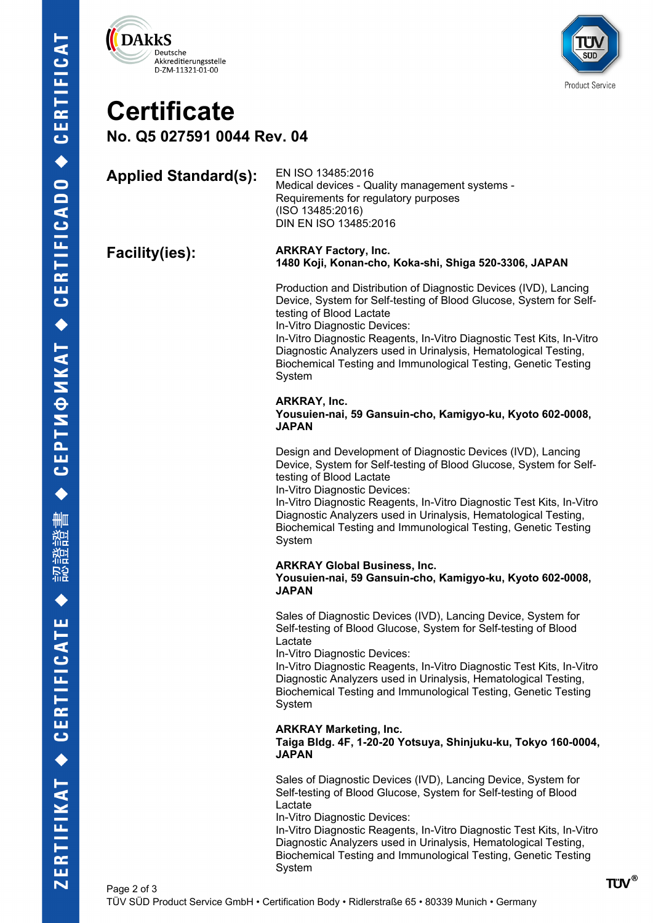



## **Certificate**

**No. Q5 027591 0044 Rev. 04**

#### **Applied Standard(s):** EN ISO 13485:2016 Medical devices - Quality management systems - Requirements for regulatory purposes (ISO 13485:2016) DIN EN ISO 13485:2016

#### **Facility(ies): ARKRAY Factory, Inc. 1480 Koji, Konan-cho, Koka-shi, Shiga 520-3306, JAPAN**

Production and Distribution of Diagnostic Devices (IVD), Lancing Device, System for Self-testing of Blood Glucose, System for Selftesting of Blood Lactate

In-Vitro Diagnostic Devices:

In-Vitro Diagnostic Reagents, In-Vitro Diagnostic Test Kits, In-Vitro Diagnostic Analyzers used in Urinalysis, Hematological Testing, Biochemical Testing and Immunological Testing, Genetic Testing System

#### **ARKRAY, Inc.**

**Yousuien-nai, 59 Gansuin-cho, Kamigyo-ku, Kyoto 602-0008, JAPAN**

Design and Development of Diagnostic Devices (IVD), Lancing Device, System for Self-testing of Blood Glucose, System for Selftesting of Blood Lactate

In-Vitro Diagnostic Devices:

In-Vitro Diagnostic Reagents, In-Vitro Diagnostic Test Kits, In-Vitro Diagnostic Analyzers used in Urinalysis, Hematological Testing, Biochemical Testing and Immunological Testing, Genetic Testing System

#### **ARKRAY Global Business, Inc. Yousuien-nai, 59 Gansuin-cho, Kamigyo-ku, Kyoto 602-0008, JAPAN**

Sales of Diagnostic Devices (IVD), Lancing Device, System for Self-testing of Blood Glucose, System for Self-testing of Blood Lactate

In-Vitro Diagnostic Devices:

In-Vitro Diagnostic Reagents, In-Vitro Diagnostic Test Kits, In-Vitro Diagnostic Analyzers used in Urinalysis, Hematological Testing, Biochemical Testing and Immunological Testing, Genetic Testing System

### **ARKRAY Marketing, Inc.**

**Taiga Bldg. 4F, 1-20-20 Yotsuya, Shinjuku-ku, Tokyo 160-0004, JAPAN**

Sales of Diagnostic Devices (IVD), Lancing Device, System for Self-testing of Blood Glucose, System for Self-testing of Blood Lactate

In-Vitro Diagnostic Devices:

In-Vitro Diagnostic Reagents, In-Vitro Diagnostic Test Kits, In-Vitro Diagnostic Analyzers used in Urinalysis, Hematological Testing, Biochemical Testing and Immunological Testing, Genetic Testing System